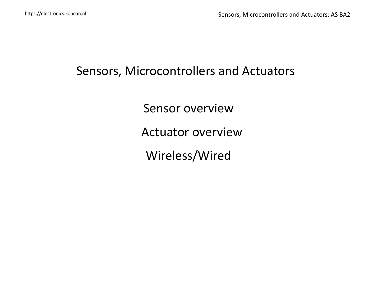# Sensors, Microcontrollers and Actuators

Sensor overview

**Actuator overview** 

Wireless/Wired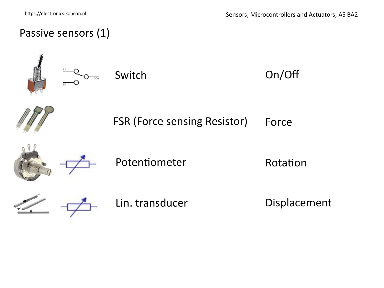On/Off

# Passive sensors (1)











Rotation



Lin. transducer

Displacement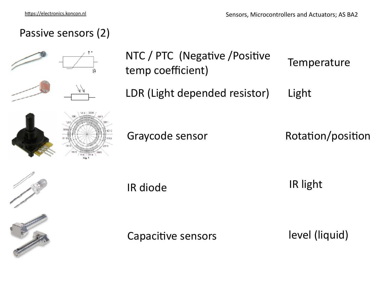# Passive sensors (2)



NTC / PTC (Negative / Positive temp coefficient) **Temperature** 

LDR (Light depended resistor) Light

Graycode sensor **Rotation**/position





IR diode IR light

Capacitive sensors

level (liquid)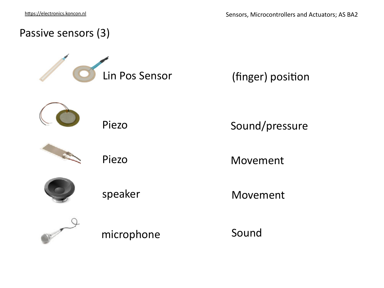

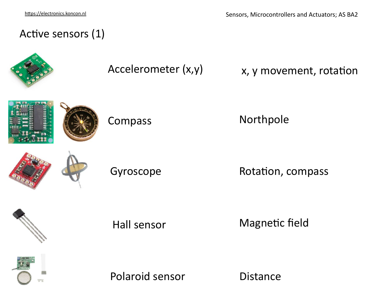## Active sensors (1)



# Accelerometer  $(x,y)$  x, y movement, rotation



Compass Northpole

Gyroscope Rotation, compass



Hall sensor Magnetic field



Polaroid sensor Distance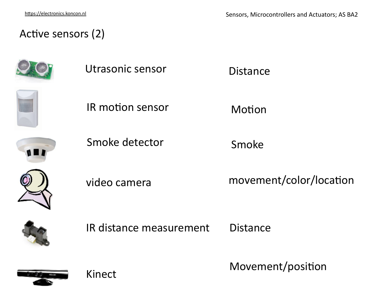#### Active sensors (2)







IR motion sensor **Motion** 



Smoke detector Smoke



video camera movement/color/location



IR distance measurement Distance



Kinect Movement/position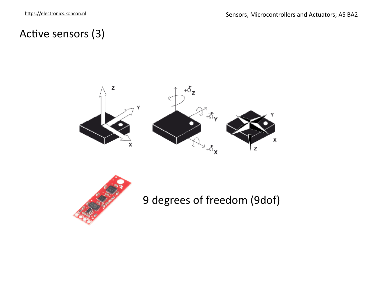## Active sensors (3)





9 degrees of freedom (9dof)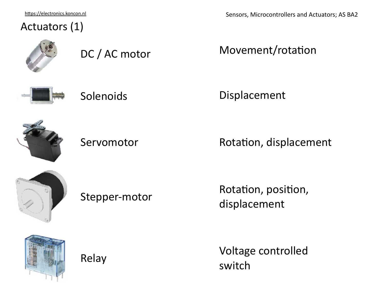https://electronics.koncon.nl

### Actuators (1)

DC / AC motor Movement/rotation





Displacement



Servomotor Rotation, displacement



Stepper-motor Rotation, position, displacement



Relay Voltage controlled switch



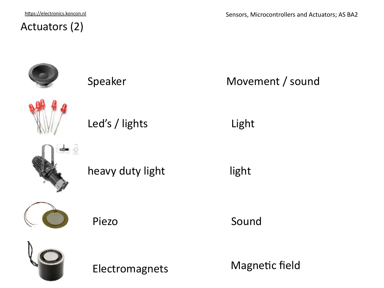https://electronics.koncon.nl

## Actuators (2)



Electromagnets Magnetic field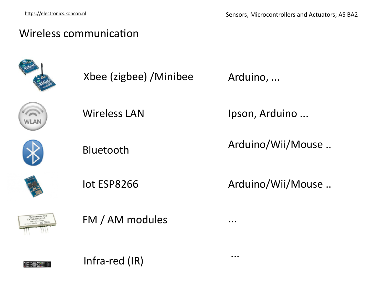### Wireless communication



Xbee (zigbee) /Minibee



Wireless LAN

Bluetooth

Ipson, Arduino ...

Arduino, ...

...

...

Arduino/Wii/Mouse ..





FM / AM modules

Infra-red (IR)

Iot ESP8266 Arduino/Wii/Mouse ..